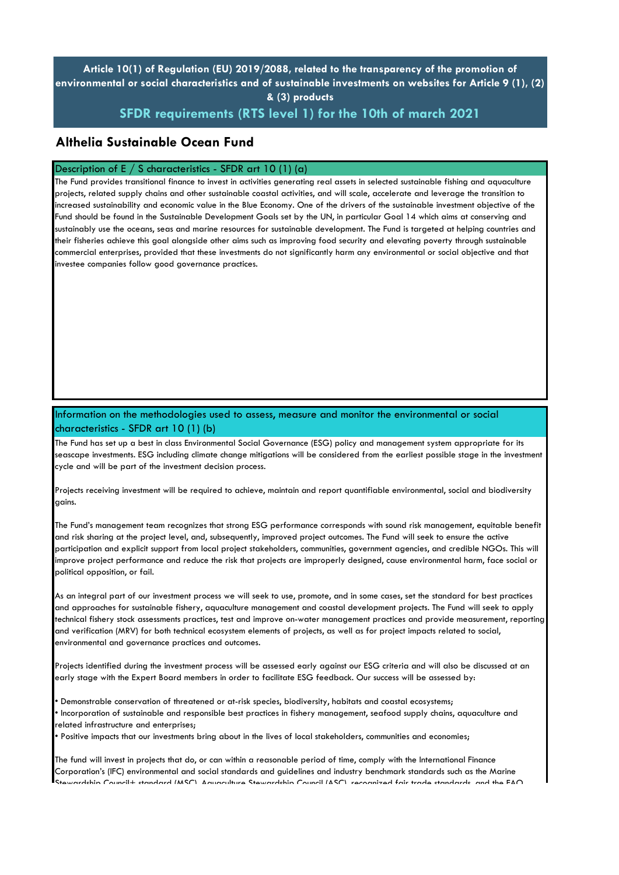# **Article 10(1) of Regulation (EU) 2019/2088, related to the transparency of the promotion of environmental or social characteristics and of sustainable investments on websites for Article 9 (1), (2) & (3) products**

# **SFDR requirements (RTS level 1) for the 10th of march 2021**

## **Althelia Sustainable Ocean Fund**

#### Description of E / S characteristics - SFDR art 10 (1) (a)

The Fund provides transitional finance to invest in activities generating real assets in selected sustainable fishing and aquaculture projects, related supply chains and other sustainable coastal activities, and will scale, accelerate and leverage the transition to increased sustainability and economic value in the Blue Economy. One of the drivers of the sustainable investment objective of the Fund should be found in the Sustainable Development Goals set by the UN, in particular Goal 14 which aims at conserving and sustainably use the oceans, seas and marine resources for sustainable development. The Fund is targeted at helping countries and their fisheries achieve this goal alongside other aims such as improving food security and elevating poverty through sustainable commercial enterprises, provided that these investments do not significantly harm any environmental or social objective and that investee companies follow good governance practices.

### Information on the methodologies used to assess, measure and monitor the environmental or social characteristics - SFDR art 10 (1) (b)

The Fund has set up a best in class Environmental Social Governance (ESG) policy and management system appropriate for its seascape investments. ESG including climate change mitigations will be considered from the earliest possible stage in the investment cycle and will be part of the investment decision process.

Projects receiving investment will be required to achieve, maintain and report quantifiable environmental, social and biodiversity gains.

The Fund's management team recognizes that strong ESG performance corresponds with sound risk management, equitable benefit and risk sharing at the project level, and, subsequently, improved project outcomes. The Fund will seek to ensure the active participation and explicit support from local project stakeholders, communities, government agencies, and credible NGOs. This will improve project performance and reduce the risk that projects are improperly designed, cause environmental harm, face social or political opposition, or fail.

As an integral part of our investment process we will seek to use, promote, and in some cases, set the standard for best practices and approaches for sustainable fishery, aquaculture management and coastal development projects. The Fund will seek to apply technical fishery stock assessments practices, test and improve on-water management practices and provide measurement, reporting and verification (MRV) for both technical ecosystem elements of projects, as well as for project impacts related to social, environmental and governance practices and outcomes.

Projects identified during the investment process will be assessed early against our ESG criteria and will also be discussed at an early stage with the Expert Board members in order to facilitate ESG feedback. Our success will be assessed by:

• Demonstrable conservation of threatened or at-risk species, biodiversity, habitats and coastal ecosystems; • Incorporation of sustainable and responsible best practices in fishery management, seafood supply chains, aquaculture and related infrastructure and enterprises;

• Positive impacts that our investments bring about in the lives of local stakeholders, communities and economies;

The fund will invest in projects that do, or can within a reasonable period of time, comply with the International Finance Corporation's (IFC) environmental and social standards and guidelines and industry benchmark standards such as the Marine  $S_{\text{SUS}}$  Council+ standard (MSC), Aquaculture Stewardship Council (ASC), recognized fair trade standards, and the FAO